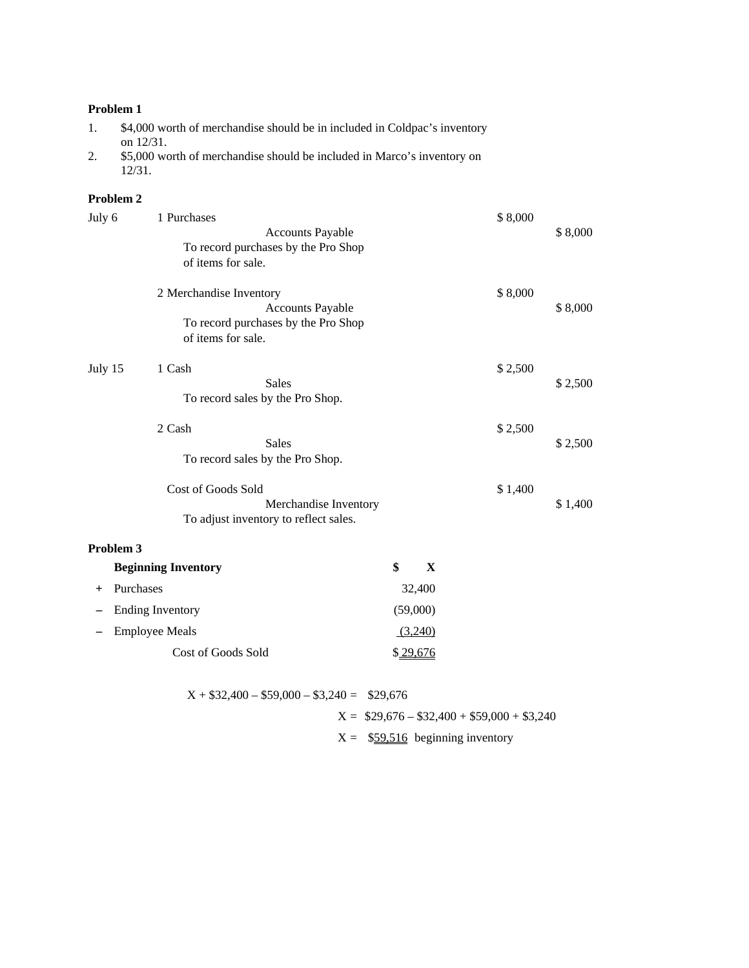| \$4,000 worth of merchandise should be in included in Coldpac's inventory |
|---------------------------------------------------------------------------|
| on $12/31$ .                                                              |
| \$5,000 worth of merchandise should be included in Marco's inventory on   |

12/31.

## **Problem 2**

| July 6    | 1 Purchases                                                            |          | \$8,000 |         |
|-----------|------------------------------------------------------------------------|----------|---------|---------|
|           | <b>Accounts Payable</b>                                                |          |         | \$8,000 |
|           | To record purchases by the Pro Shop                                    |          |         |         |
|           | of items for sale.                                                     |          |         |         |
|           | 2 Merchandise Inventory                                                |          | \$8,000 |         |
|           | <b>Accounts Payable</b>                                                |          |         | \$8,000 |
|           | To record purchases by the Pro Shop                                    |          |         |         |
|           | of items for sale.                                                     |          |         |         |
| July 15   | 1 Cash                                                                 |          | \$2,500 |         |
|           | <b>Sales</b>                                                           |          |         | \$2,500 |
|           | To record sales by the Pro Shop.                                       |          |         |         |
|           | 2 Cash                                                                 |          | \$2,500 |         |
|           | <b>Sales</b>                                                           |          |         | \$2,500 |
|           | To record sales by the Pro Shop.                                       |          |         |         |
|           | Cost of Goods Sold                                                     |          | \$1,400 |         |
|           | Merchandise Inventory                                                  |          |         | \$1,400 |
|           | To adjust inventory to reflect sales.                                  |          |         |         |
| Problem 3 |                                                                        |          |         |         |
|           | <b>Beginning Inventory</b>                                             | \$<br>X  |         |         |
| $\pm$     | Purchases                                                              | 32,400   |         |         |
|           | <b>Ending Inventory</b>                                                | (59,000) |         |         |
|           | <b>Employee Meals</b>                                                  | (3,240)  |         |         |
|           | Cost of Goods Sold                                                     | \$29,676 |         |         |
|           |                                                                        |          |         |         |
|           | $\triangle$ = $\triangle$ $\triangle$ $\triangle$<br>0.210<br>0.001100 |          |         |         |

| $X + $32,400 - $59,000 - $3,240 = $29,676$ |                                            |
|--------------------------------------------|--------------------------------------------|
|                                            | $X = $29,676 - $32,400 + $59,000 + $3,240$ |
|                                            | $X =$ \$59,516 beginning inventory         |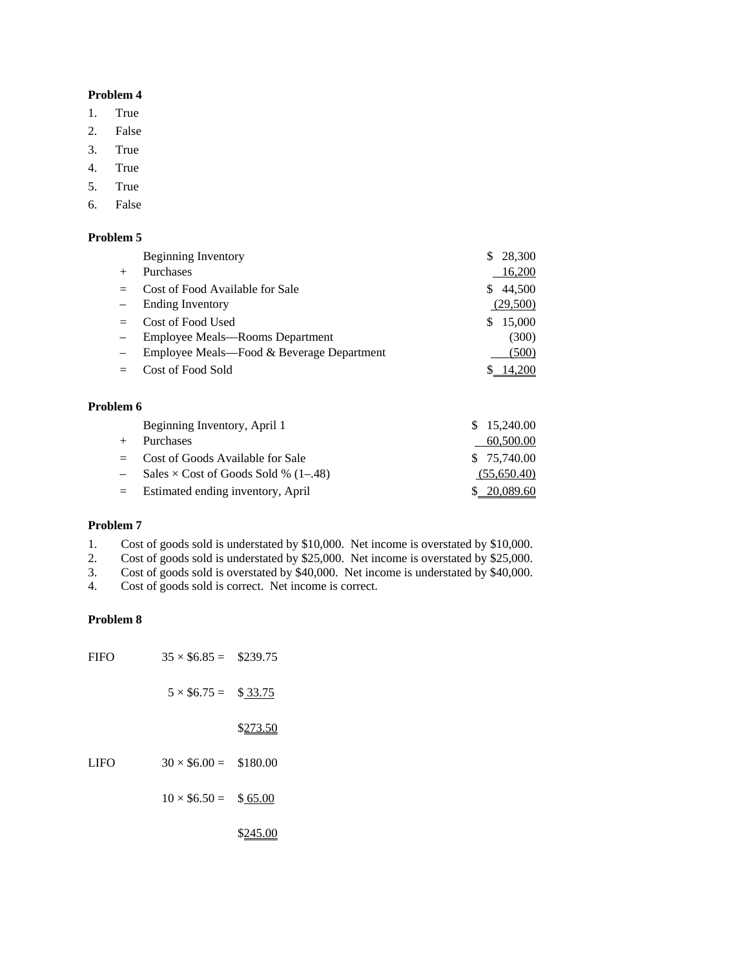- 1. True
- 2. False
- 3. True
- 4. True
- 5. True
- 6. False

#### **Problem 5**

| <b>Beginning Inventory</b>                | 28,300<br>\$. |
|-------------------------------------------|---------------|
| Purchases                                 | 16,200        |
| Cost of Food Available for Sale           | 44,500<br>S.  |
| <b>Ending Inventory</b>                   | (29,500)      |
| Cost of Food Used                         | 15,000<br>\$. |
| Employee Meals-Rooms Department           | (300)         |
| Employee Meals—Food & Beverage Department | (500)         |
| Cost of Food Sold                         | 14,200        |

#### **Problem 6**

|     | Beginning Inventory, April 1                | \$15,240.00  |
|-----|---------------------------------------------|--------------|
| $+$ | <b>Purchases</b>                            | 60,500.00    |
|     | $=$ Cost of Goods Available for Sale        | \$ 75,740.00 |
|     | Sales $\times$ Cost of Goods Sold % (1–.48) | (55,650.40)  |
|     | $=$ Estimated ending inventory, April       | \$ 20,089.60 |

#### **Problem 7**

1. Cost of goods sold is understated by \$10,000. Net income is overstated by \$10,000.

2. Cost of goods sold is understated by \$25,000. Net income is overstated by \$25,000.<br>3. Cost of goods sold is overstated by \$40,000. Net income is understated by \$40,000.

3. Cost of goods sold is overstated by \$40,000. Net income is understated by \$40,000.<br>4. Cost of goods sold is correct. Net income is correct.

Cost of goods sold is correct. Net income is correct.

### **Problem 8**

| <b>FIFO</b> | $35 \times $6.85 = $239.75$ |          |
|-------------|-----------------------------|----------|
|             | $5 \times $6.75 =$          | \$33.75  |
|             |                             | \$273.50 |
| <b>LIFO</b> | $30 \times $6.00 = $180.00$ |          |
|             | $10 \times $6.50 =$         | \$65.00  |
|             |                             | \$245.00 |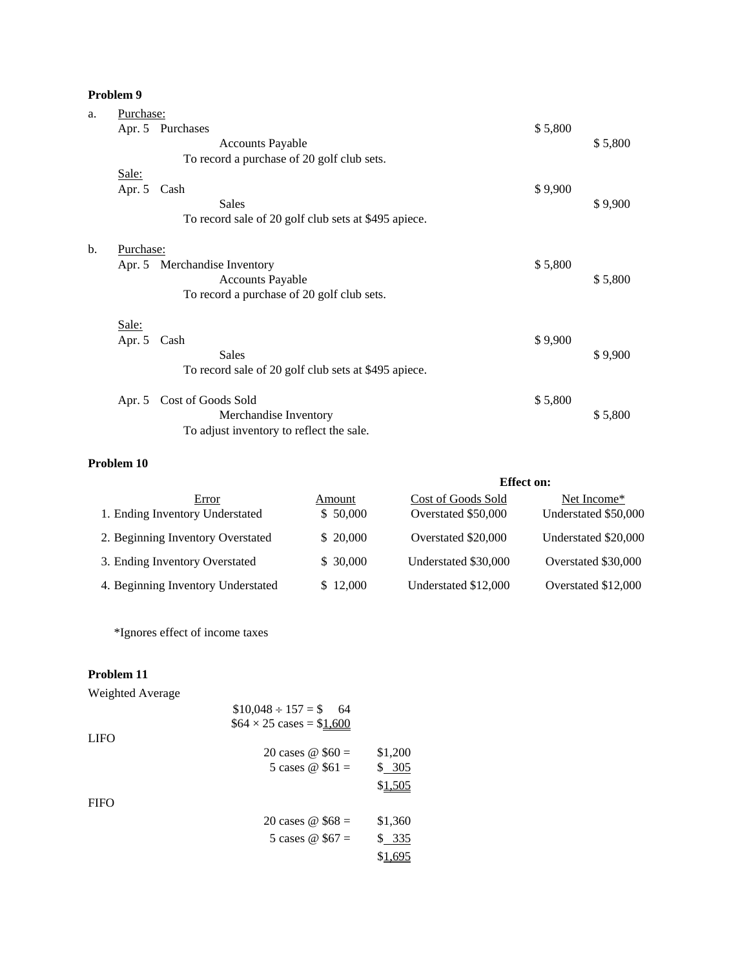| a. | Purchase:                                            |         |         |
|----|------------------------------------------------------|---------|---------|
|    | Apr. 5 Purchases                                     | \$5,800 |         |
|    | <b>Accounts Payable</b>                              |         | \$5,800 |
|    | To record a purchase of 20 golf club sets.           |         |         |
|    | Sale:                                                |         |         |
|    | Apr. 5 Cash                                          | \$9,900 |         |
|    | Sales                                                |         | \$9,900 |
|    | To record sale of 20 golf club sets at \$495 apiece. |         |         |
| b. | Purchase:                                            |         |         |
|    | Apr. 5 Merchandise Inventory                         | \$5,800 |         |
|    | <b>Accounts Payable</b>                              |         | \$5,800 |
|    | To record a purchase of 20 golf club sets.           |         |         |
|    | Sale:                                                |         |         |
|    | Apr. 5 Cash                                          | \$9,900 |         |
|    | <b>Sales</b>                                         |         | \$9,900 |
|    | To record sale of 20 golf club sets at \$495 apiece. |         |         |
|    | Apr. 5 Cost of Goods Sold                            | \$5,800 |         |
|    | Merchandise Inventory                                |         | \$5,800 |
|    | To adjust inventory to reflect the sale.             |         |         |

# **Problem 10**

|                                    |           | <b>Effect on:</b>    |                         |
|------------------------------------|-----------|----------------------|-------------------------|
| Error                              | Amount    | Cost of Goods Sold   | Net Income <sup>*</sup> |
| 1. Ending Inventory Understated    | \$50,000  | Overstated \$50,000  | Understated \$50,000    |
| 2. Beginning Inventory Overstated  | \$20,000  | Overstated \$20,000  | Understated \$20,000    |
| 3. Ending Inventory Overstated     | \$ 30,000 | Understated \$30,000 | Overstated \$30,000     |
| 4. Beginning Inventory Understated | \$12,000  | Understated \$12,000 | Overstated \$12,000     |

\*Ignores effect of income taxes

# **Problem 11**

Weighted Average

|             | $$10,048 \div 157 = $$ 64              |         |  |  |
|-------------|----------------------------------------|---------|--|--|
|             | $$64 \times 25 \text{ cases} = $1,600$ |         |  |  |
| <b>LIFO</b> |                                        |         |  |  |
|             | 20 cases $\omega$ \$60 =               | \$1,200 |  |  |
|             | 5 cases $\omega$ \$61 =                | \$ 305  |  |  |
|             |                                        | \$1,505 |  |  |
| <b>FIFO</b> |                                        |         |  |  |
|             | 20 cases $\omega$ \$68 =               | \$1,360 |  |  |
|             | 5 cases $\omega$ \$67 =                | \$ 335  |  |  |
|             |                                        | \$1,695 |  |  |
|             |                                        |         |  |  |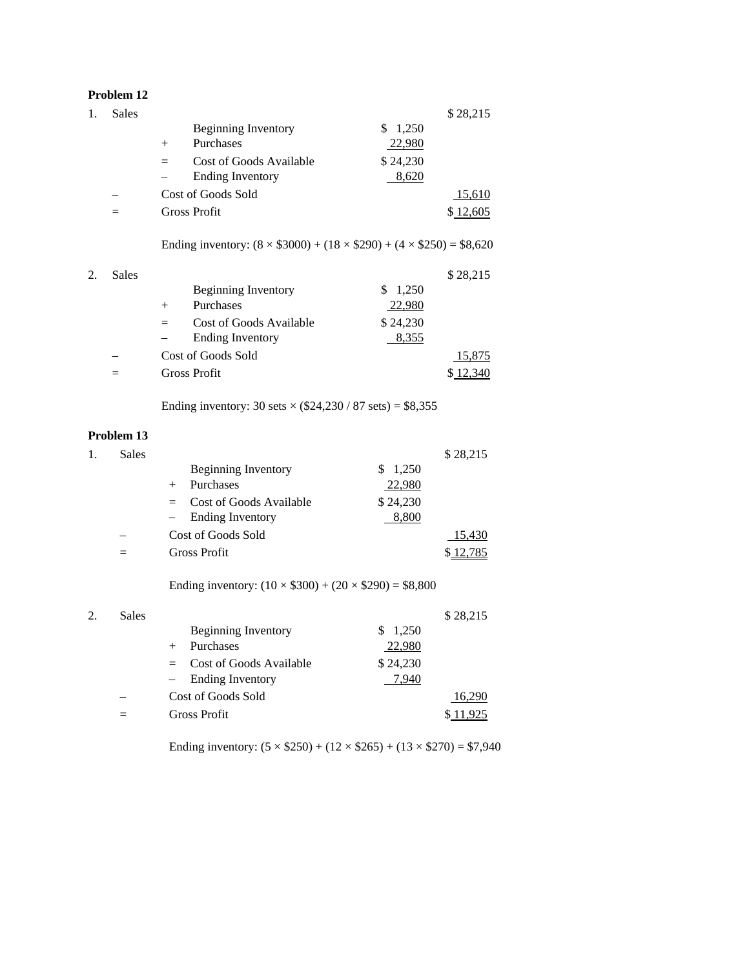|    | Problem 12   |                                                                                    |               |
|----|--------------|------------------------------------------------------------------------------------|---------------|
| 1. | <b>Sales</b> |                                                                                    | \$28,215      |
|    |              | 1,250<br>Beginning Inventory<br>\$                                                 |               |
|    |              | Purchases<br>22,980<br>$^{+}$                                                      |               |
|    |              | \$24,230<br>Cost of Goods Available<br>$=$                                         |               |
|    |              | <b>Ending Inventory</b><br>8,620                                                   |               |
|    |              | Cost of Goods Sold                                                                 | <u>15,610</u> |
|    | $=$          | <b>Gross Profit</b>                                                                | \$12,605      |
|    |              | Ending inventory: $(8 \times $3000) + (18 \times $290) + (4 \times $250) = $8,620$ |               |
| 2. | <b>Sales</b> |                                                                                    | \$28,215      |
|    |              | \$<br><b>Beginning Inventory</b><br>1,250                                          |               |
|    |              | Purchases<br>22,980<br>$^{+}$                                                      |               |
|    |              | \$24,230<br>Cost of Goods Available<br>$=$                                         |               |
|    |              | <b>Ending Inventory</b><br>8,355                                                   |               |
|    |              | Cost of Goods Sold                                                                 | <u>15,875</u> |
|    | $=$          | <b>Gross Profit</b>                                                                | \$12,340      |
|    |              | Ending inventory: 30 sets $\times$ (\$24,230 / 87 sets) = \$8,355                  |               |
|    | Problem 13   |                                                                                    |               |
| 1. | <b>Sales</b> |                                                                                    | \$28,215      |

| Sales |                                |          | \$28,215 |
|-------|--------------------------------|----------|----------|
|       | Beginning Inventory            | 1,250    |          |
|       | Purchases                      | 22,980   |          |
|       | Cost of Goods Available<br>$=$ | \$24,230 |          |
|       | <b>Ending Inventory</b>        | 8,800    |          |
|       | Cost of Goods Sold             |          | 15,430   |
|       | <b>Gross Profit</b>            |          |          |

Ending inventory:  $(10 \times $300) + (20 \times $290) = $8,800$ 

| 2. | <b>Sales</b> |                                                | \$28,215 |
|----|--------------|------------------------------------------------|----------|
|    |              | Beginning Inventory<br>1,250                   |          |
|    |              | 22,980<br>Purchases                            |          |
|    |              | \$24,230<br>Cost of Goods Available<br>$=$ $-$ |          |
|    |              | 7.940<br><b>Ending Inventory</b><br>$-$        |          |
|    |              | Cost of Goods Sold                             | 16.290   |
|    |              | Gross Profit                                   |          |

Ending inventory:  $(5 \times $250) + (12 \times $265) + (13 \times $270) = $7,940$